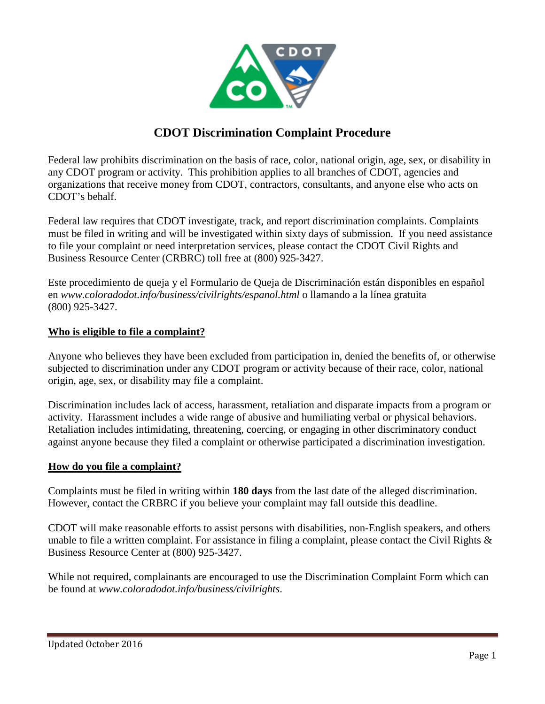

# **CDOT Discrimination Complaint Procedure**

Federal law prohibits discrimination on the basis of race, color, national origin, age, sex, or disability in any CDOT program or activity. This prohibition applies to all branches of CDOT, agencies and organizations that receive money from CDOT, contractors, consultants, and anyone else who acts on CDOT's behalf.

Federal law requires that CDOT investigate, track, and report discrimination complaints. Complaints must be filed in writing and will be investigated within sixty days of submission. If you need assistance to file your complaint or need interpretation services, please contact the CDOT Civil Rights and Business Resource Center (CRBRC) toll free at (800) 925-3427.

Este procedimiento de queja y el Formulario de Queja de Discriminación están disponibles en español en *www.coloradodot.info/business/civilrights/espanol.html* o llamando a la línea gratuita (800) 925-3427.

## **Who is eligible to file a complaint?**

Anyone who believes they have been excluded from participation in, denied the benefits of, or otherwise subjected to discrimination under any CDOT program or activity because of their race, color, national origin, age, sex, or disability may file a complaint.

Discrimination includes lack of access, harassment, retaliation and disparate impacts from a program or activity. Harassment includes a wide range of abusive and humiliating verbal or physical behaviors. Retaliation includes intimidating, threatening, coercing, or engaging in other discriminatory conduct against anyone because they filed a complaint or otherwise participated a discrimination investigation.

#### **How do you file a complaint?**

Complaints must be filed in writing within **180 days** from the last date of the alleged discrimination. However, contact the CRBRC if you believe your complaint may fall outside this deadline.

CDOT will make reasonable efforts to assist persons with disabilities, non-English speakers, and others unable to file a written complaint. For assistance in filing a complaint, please contact the Civil Rights  $\&$ Business Resource Center at (800) 925-3427.

While not required, complainants are encouraged to use the Discrimination Complaint Form which can be found at *www.coloradodot.info/business/civilrights*.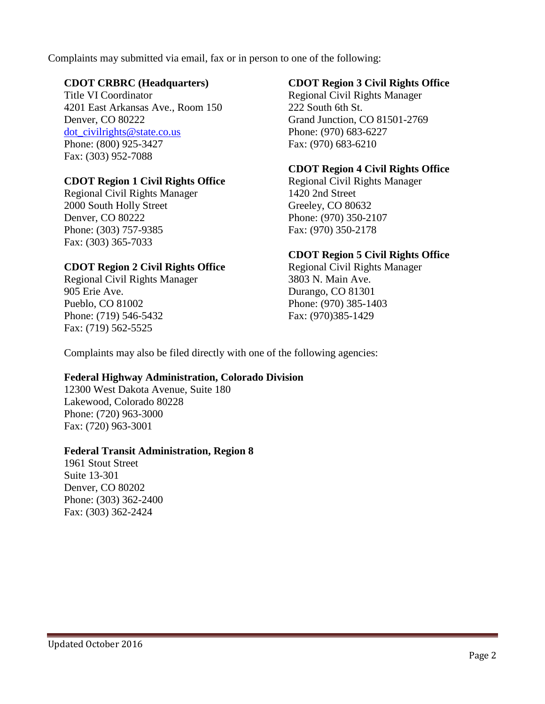Complaints may submitted via email, fax or in person to one of the following:

#### **CDOT CRBRC (Headquarters)**

Title VI Coordinator 4201 East Arkansas Ave., Room 150 Denver, CO 80222 dot\_civilrights@state.co.us Phone: (800) 925-3427 Fax: (303) 952-7088

# **CDOT Region 1 Civil Rights Office**

Regional Civil Rights Manager 2000 South Holly Street Denver, CO 80222 Phone: (303) 757-9385 Fax: (303) 365-7033

# **CDOT Region 2 Civil Rights Office**

Regional Civil Rights Manager 905 Erie Ave. Pueblo, CO 81002 Phone: (719) 546-5432 Fax: (719) 562-5525

## **CDOT Region 3 Civil Rights Office**

Regional Civil Rights Manager 222 South 6th St. Grand Junction, CO 81501-2769 Phone: (970) 683-6227 Fax: (970) 683-6210

## **CDOT Region 4 Civil Rights Office**

Regional Civil Rights Manager 1420 2nd Street Greeley, CO 80632 Phone: (970) 350-2107 Fax: (970) 350-2178

# **CDOT Region 5 Civil Rights Office**

Regional Civil Rights Manager 3803 N. Main Ave. Durango, CO 81301 Phone: (970) 385-1403 Fax: (970)385-1429

Complaints may also be filed directly with one of the following agencies:

#### **Federal Highway Administration, Colorado Division**

12300 West Dakota Avenue, Suite 180 Lakewood, Colorado 80228 Phone: (720) 963-3000 Fax: (720) 963-3001

#### **Federal Transit Administration, Region 8**

1961 Stout Street Suite 13-301 Denver, CO 80202 Phone: (303) 362-2400 Fax: (303) 362-2424